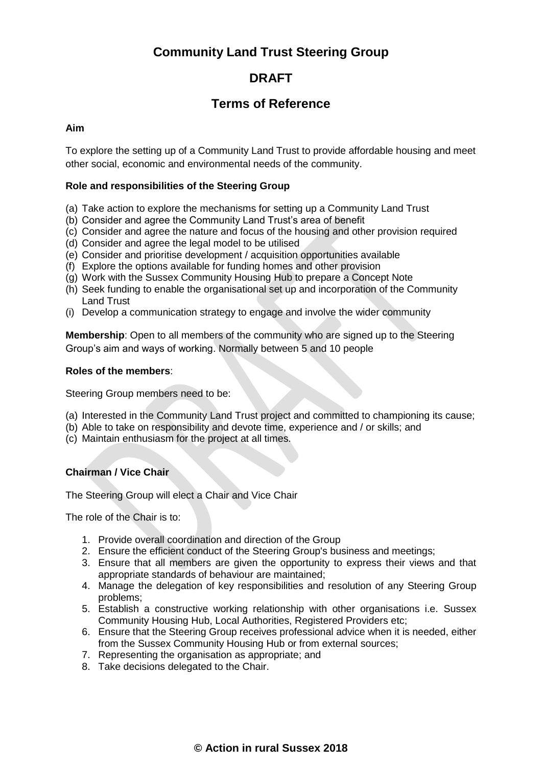# **Community Land Trust Steering Group**

# **DRAFT**

# **Terms of Reference**

#### **Aim**

To explore the setting up of a Community Land Trust to provide affordable housing and meet other social, economic and environmental needs of the community.

### **Role and responsibilities of the Steering Group**

- (a) Take action to explore the mechanisms for setting up a Community Land Trust
- (b) Consider and agree the Community Land Trust's area of benefit
- (c) Consider and agree the nature and focus of the housing and other provision required
- (d) Consider and agree the legal model to be utilised
- (e) Consider and prioritise development / acquisition opportunities available
- (f) Explore the options available for funding homes and other provision
- (g) Work with the Sussex Community Housing Hub to prepare a Concept Note
- (h) Seek funding to enable the organisational set up and incorporation of the Community Land Trust
- (i) Develop a communication strategy to engage and involve the wider community

**Membership**: Open to all members of the community who are signed up to the Steering Group's aim and ways of working. Normally between 5 and 10 people

### **Roles of the members**:

Steering Group members need to be:

- (a) Interested in the Community Land Trust project and committed to championing its cause;
- (b) Able to take on responsibility and devote time, experience and / or skills; and
- (c) Maintain enthusiasm for the project at all times.

## **Chairman / Vice Chair**

The Steering Group will elect a Chair and Vice Chair

The role of the Chair is to:

- 1. Provide overall coordination and direction of the Group
- 2. Ensure the efficient conduct of the Steering Group's business and meetings;
- 3. Ensure that all members are given the opportunity to express their views and that appropriate standards of behaviour are maintained;
- 4. Manage the delegation of key responsibilities and resolution of any Steering Group problems;
- 5. Establish a constructive working relationship with other organisations i.e. Sussex Community Housing Hub, Local Authorities, Registered Providers etc;
- 6. Ensure that the Steering Group receives professional advice when it is needed, either from the Sussex Community Housing Hub or from external sources;
- 7. Representing the organisation as appropriate; and
- 8. Take decisions delegated to the Chair.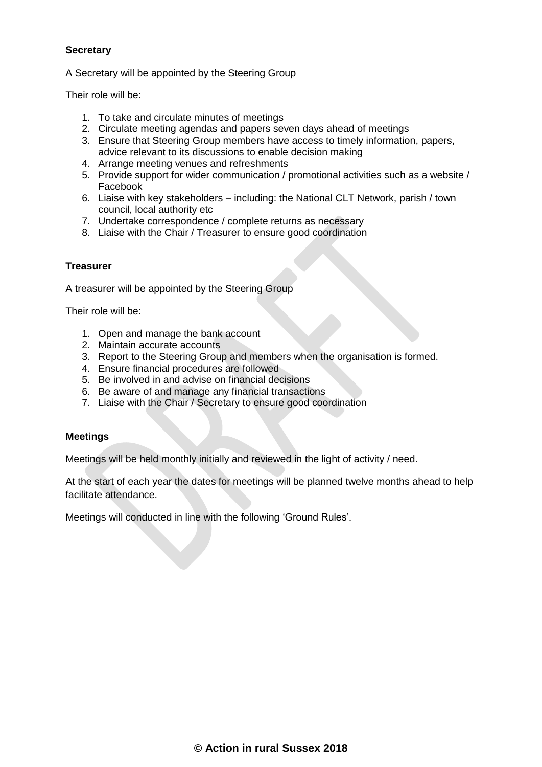### **Secretary**

A Secretary will be appointed by the Steering Group

Their role will be:

- 1. To take and circulate minutes of meetings
- 2. Circulate meeting agendas and papers seven days ahead of meetings
- 3. Ensure that Steering Group members have access to timely information, papers, advice relevant to its discussions to enable decision making
- 4. Arrange meeting venues and refreshments
- 5. Provide support for wider communication / promotional activities such as a website / Facebook
- 6. Liaise with key stakeholders including: the National CLT Network, parish / town council, local authority etc
- 7. Undertake correspondence / complete returns as necessary
- 8. Liaise with the Chair / Treasurer to ensure good coordination

#### **Treasurer**

A treasurer will be appointed by the Steering Group

Their role will be:

- 1. Open and manage the bank account
- 2. Maintain accurate accounts
- 3. Report to the Steering Group and members when the organisation is formed.
- 4. Ensure financial procedures are followed
- 5. Be involved in and advise on financial decisions
- 6. Be aware of and manage any financial transactions
- 7. Liaise with the Chair / Secretary to ensure good coordination

#### **Meetings**

Meetings will be held monthly initially and reviewed in the light of activity / need.

At the start of each year the dates for meetings will be planned twelve months ahead to help facilitate attendance.

Meetings will conducted in line with the following 'Ground Rules'.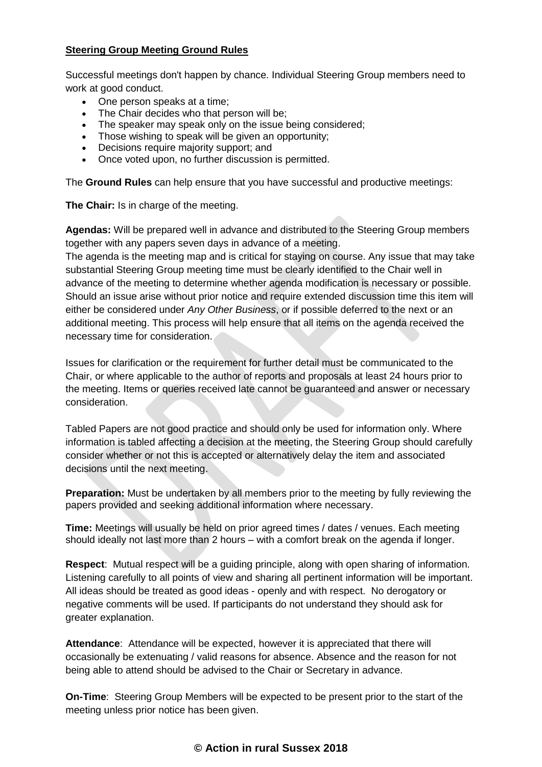### **Steering Group Meeting Ground Rules**

Successful meetings don't happen by chance. Individual Steering Group members need to work at good conduct.

- One person speaks at a time;
- The Chair decides who that person will be;
- The speaker may speak only on the issue being considered;
- Those wishing to speak will be given an opportunity;
- Decisions require majority support: and
- Once voted upon, no further discussion is permitted.

The **Ground Rules** can help ensure that you have successful and productive meetings:

**The Chair:** Is in charge of the meeting.

**Agendas:** Will be prepared well in advance and distributed to the Steering Group members together with any papers seven days in advance of a meeting.

The agenda is the meeting map and is critical for staying on course. Any issue that may take substantial Steering Group meeting time must be clearly identified to the Chair well in advance of the meeting to determine whether agenda modification is necessary or possible. Should an issue arise without prior notice and require extended discussion time this item will either be considered under *Any Other Business*, or if possible deferred to the next or an additional meeting. This process will help ensure that all items on the agenda received the necessary time for consideration.

Issues for clarification or the requirement for further detail must be communicated to the Chair, or where applicable to the author of reports and proposals at least 24 hours prior to the meeting. Items or queries received late cannot be guaranteed and answer or necessary consideration.

Tabled Papers are not good practice and should only be used for information only. Where information is tabled affecting a decision at the meeting, the Steering Group should carefully consider whether or not this is accepted or alternatively delay the item and associated decisions until the next meeting.

**Preparation:** Must be undertaken by all members prior to the meeting by fully reviewing the papers provided and seeking additional information where necessary.

**Time:** Meetings will usually be held on prior agreed times / dates / venues. Each meeting should ideally not last more than 2 hours – with a comfort break on the agenda if longer.

**Respect**: Mutual respect will be a guiding principle, along with open sharing of information. Listening carefully to all points of view and sharing all pertinent information will be important. All ideas should be treated as good ideas - openly and with respect. No derogatory or negative comments will be used. If participants do not understand they should ask for greater explanation.

**Attendance**: Attendance will be expected, however it is appreciated that there will occasionally be extenuating / valid reasons for absence. Absence and the reason for not being able to attend should be advised to the Chair or Secretary in advance.

**On-Time**: Steering Group Members will be expected to be present prior to the start of the meeting unless prior notice has been given.

## **© Action in rural Sussex 2018**